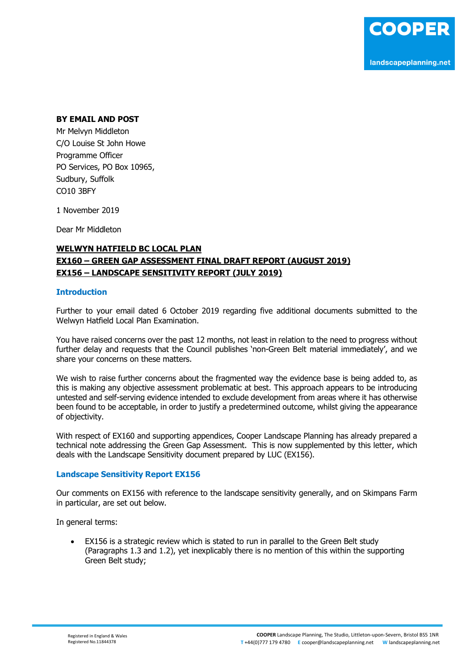## **BY EMAIL AND POST**

Mr Melvyn Middleton C/O Louise St John Howe Programme Officer PO Services, PO Box 10965, Sudbury, Suffolk CO10 3BFY

1 November 2019

Dear Mr Middleton

# **WELWYN HATFIELD BC LOCAL PLAN EX160 – GREEN GAP ASSESSMENT FINAL DRAFT REPORT (AUGUST 2019) EX156 – LANDSCAPE SENSITIVITY REPORT (JULY 2019)**

#### **Introduction**

Further to your email dated 6 October 2019 regarding five additional documents submitted to the Welwyn Hatfield Local Plan Examination.

You have raised concerns over the past 12 months, not least in relation to the need to progress without further delay and requests that the Council publishes 'non-Green Belt material immediately', and we share your concerns on these matters.

We wish to raise further concerns about the fragmented way the evidence base is being added to, as this is making any objective assessment problematic at best. This approach appears to be introducing untested and self-serving evidence intended to exclude development from areas where it has otherwise been found to be acceptable, in order to justify a predetermined outcome, whilst giving the appearance of objectivity.

With respect of EX160 and supporting appendices, Cooper Landscape Planning has already prepared a technical note addressing the Green Gap Assessment. This is now supplemented by this letter, which deals with the Landscape Sensitivity document prepared by LUC (EX156).

### **Landscape Sensitivity Report EX156**

Our comments on EX156 with reference to the landscape sensitivity generally, and on Skimpans Farm in particular, are set out below.

In general terms:

• EX156 is a strategic review which is stated to run in parallel to the Green Belt study (Paragraphs 1.3 and 1.2), yet inexplicably there is no mention of this within the supporting Green Belt study;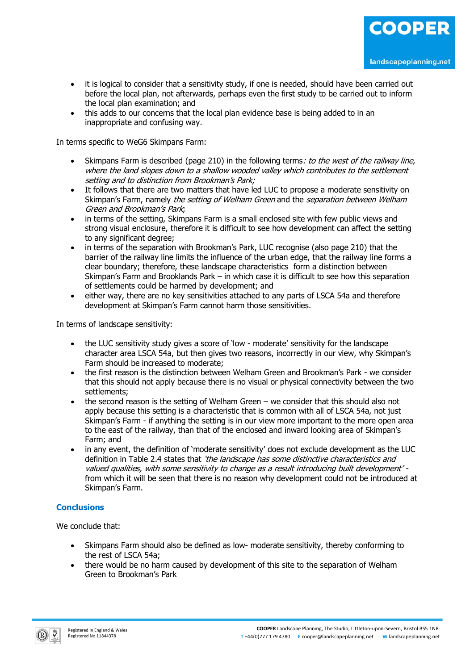- it is logical to consider that a sensitivity study, if one is needed, should have been carried out before the local plan, not afterwards, perhaps even the first study to be carried out to inform the local plan examination; and
- this adds to our concerns that the local plan evidence base is being added to in an inappropriate and confusing way.

In terms specific to WeG6 Skimpans Farm:

- Skimpans Farm is described (page 210) in the following terms: to the west of the railway line, where the land slopes down to a shallow wooded valley which contributes to the settlement setting and to distinction from Brookman's Park;
- It follows that there are two matters that have led LUC to propose a moderate sensitivity on Skimpan's Farm, namely the setting of Welham Green and the separation between Welham Green and Brookman's Park;
- in terms of the setting, Skimpans Farm is a small enclosed site with few public views and strong visual enclosure, therefore it is difficult to see how development can affect the setting to any significant degree;
- in terms of the separation with Brookman's Park, LUC recognise (also page 210) that the barrier of the railway line limits the influence of the urban edge, that the railway line forms a clear boundary; therefore, these landscape characteristics form a distinction between Skimpan's Farm and Brooklands Park – in which case it is difficult to see how this separation of settlements could be harmed by development; and
- either way, there are no key sensitivities attached to any parts of LSCA 54a and therefore development at Skimpan's Farm cannot harm those sensitivities.

In terms of landscape sensitivity:

- the LUC sensitivity study gives a score of 'low moderate' sensitivity for the landscape character area LSCA 54a, but then gives two reasons, incorrectly in our view, why Skimpan's Farm should be increased to moderate;
- the first reason is the distinction between Welham Green and Brookman's Park we consider that this should not apply because there is no visual or physical connectivity between the two settlements;
- the second reason is the setting of Welham Green we consider that this should also not apply because this setting is a characteristic that is common with all of LSCA 54a, not just Skimpan's Farm - if anything the setting is in our view more important to the more open area to the east of the railway, than that of the enclosed and inward looking area of Skimpan's Farm; and
- in any event, the definition of 'moderate sensitivity' does not exclude development as the LUC definition in Table 2.4 states that *'the landscape has some distinctive characteristics and* valued qualities, with some sensitivity to change as a result introducing built development' from which it will be seen that there is no reason why development could not be introduced at Skimpan's Farm.

# **Conclusions**

We conclude that:

- Skimpans Farm should also be defined as low- moderate sensitivity, thereby conforming to the rest of LSCA 54a;
- there would be no harm caused by development of this site to the separation of Welham Green to Brookman's Park